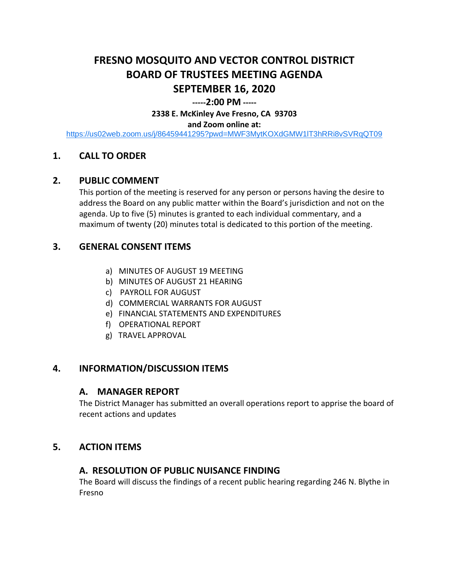# **FRESNO MOSQUITO AND VECTOR CONTROL DISTRICT BOARD OF TRUSTEES MEETING AGENDA SEPTEMBER 16, 2020**

#### **-----2:00 PM -----**

**2338 E. McKinley Ave Fresno, CA 93703**

#### **and Zoom online at:**

<https://us02web.zoom.us/j/86459441295?pwd=MWF3MytKOXdGMW1lT3hRRi8vSVRqQT09>

## **1. CALL TO ORDER**

### **2. PUBLIC COMMENT**

This portion of the meeting is reserved for any person or persons having the desire to address the Board on any public matter within the Board's jurisdiction and not on the agenda. Up to five (5) minutes is granted to each individual commentary, and a maximum of twenty (20) minutes total is dedicated to this portion of the meeting.

## **3. GENERAL CONSENT ITEMS**

- a) MINUTES OF AUGUST 19 MEETING
- b) MINUTES OF AUGUST 21 HEARING
- c) PAYROLL FOR AUGUST
- d) COMMERCIAL WARRANTS FOR AUGUST
- e) FINANCIAL STATEMENTS AND EXPENDITURES
- f) OPERATIONAL REPORT
- g) TRAVEL APPROVAL

## **4. INFORMATION/DISCUSSION ITEMS**

#### **A. MANAGER REPORT**

The District Manager has submitted an overall operations report to apprise the board of recent actions and updates

#### **5. ACTION ITEMS**

#### **A. RESOLUTION OF PUBLIC NUISANCE FINDING**

The Board will discuss the findings of a recent public hearing regarding 246 N. Blythe in Fresno